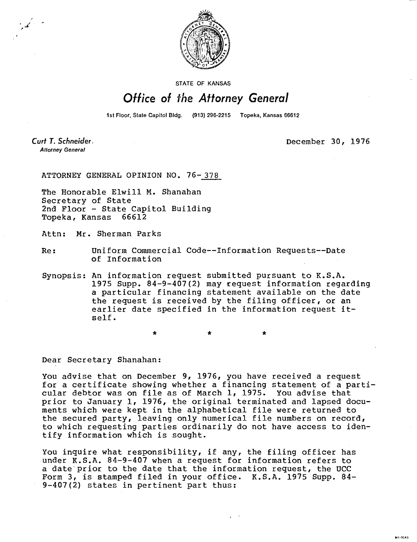

STATE OF KANSAS

## Office of the Attorney General

1st Floor, State Capitol Bldg. (913) 296-2215 Topeka, Kansas 66612

Curt T. Schneider. **Attorney General** 

December 30, 1976

MI-1043

ATTORNEY GENERAL OPINION NO. 76-378

The Honorable Elwill M. Shanahan Secretary of State 2nd Floor - State Capitol Building Topeka, Kansas 66612

 $\star$ 

Attn: Mr. Sherman Parks

Re: Uniform Commercial Code--Information Requests--Date of Information

Synopsis: An information request submitted pursuant to K.S.A. 1975 Supp. 84-9-407(2) may request information regarding a particular financing statement available on the date the request is received by the filing officer, or an earlier date specified in the information request itself.

Dear Secretary Shanahan:

You advise that on December 9, 1976, you have received a request for a certificate showing whether a financing statement of a particular debtor was on file as of March 1, 1975. You advise that prior to January 1, 1976, the original terminated and lapsed documents which were kept in the alphabetical file were returned to the secured party, leaving only numerical file numbers on record, to which requesting parties ordinarily do not have access to identify information which is sought.

You inquire what responsibility, if any, the filing officer has under K.S.A. 84-9-407 when a request for information refers to a date prior to the date that the information request, the UCC Form 3, is stamped filed in your office. K.S.A. 1975 Supp. 84- 9-407(2) states in pertinent part thus: